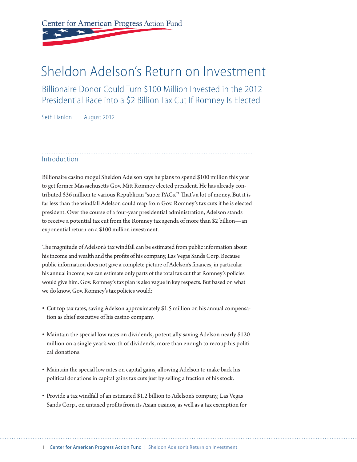# Center for American Progress Action Fund

## Sheldon Adelson's Return on Investment

Billionaire Donor Could Turn \$100 Million Invested in the 2012 Presidential Race into a \$2 Billion Tax Cut If Romney Is Elected

Seth Hanlon August 2012

#### **Introduction**

Billionaire casino mogul Sheldon Adelson says he plans to spend \$100 million this year to get former Massachusetts Gov. Mitt Romney elected president. He has already contributed \$36 million to various Republican "super PACs."1 That's a lot of money. But it is far less than the windfall Adelson could reap from Gov. Romney's tax cuts if he is elected president. Over the course of a four-year presidential administration, Adelson stands to receive a potential tax cut from the Romney tax agenda of more than \$2 billion—an exponential return on a \$100 million investment.

The magnitude of Adelson's tax windfall can be estimated from public information about his income and wealth and the profits of his company, Las Vegas Sands Corp. Because public information does not give a complete picture of Adelson's finances, in particular his annual income, we can estimate only parts of the total tax cut that Romney's policies would give him. Gov. Romney's tax plan is also vague in key respects. But based on what we do know, Gov. Romney's tax policies would:

- Cut top tax rates, saving Adelson approximately \$1.5 million on his annual compensation as chief executive of his casino company.
- Maintain the special low rates on dividends, potentially saving Adelson nearly \$120 million on a single year's worth of dividends, more than enough to recoup his political donations.
- Maintain the special low rates on capital gains, allowing Adelson to make back his political donations in capital gains tax cuts just by selling a fraction of his stock.
- Provide a tax windfall of an estimated \$1.2 billion to Adelson's company, Las Vegas Sands Corp., on untaxed profits from its Asian casinos, as well as a tax exemption for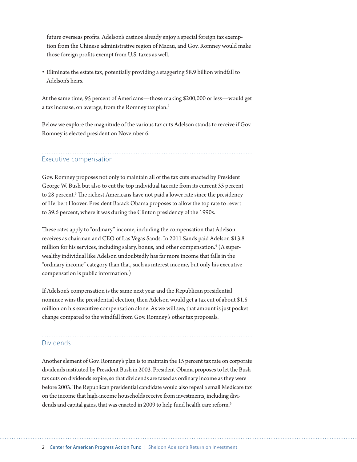future overseas profits. Adelson's casinos already enjoy a special foreign tax exemption from the Chinese administrative region of Macau, and Gov. Romney would make those foreign profits exempt from U.S. taxes as well.

• Eliminate the estate tax, potentially providing a staggering \$8.9 billion windfall to Adelson's heirs.

At the same time, 95 percent of Americans—those making \$200,000 or less—would get a tax increase, on average, from the Romney tax plan.2

Below we explore the magnitude of the various tax cuts Adelson stands to receive if Gov. Romney is elected president on November 6.

Executive compensation

Gov. Romney proposes not only to maintain all of the tax cuts enacted by President George W. Bush but also to cut the top individual tax rate from its current 35 percent to 28 percent.<sup>3</sup> The richest Americans have not paid a lower rate since the presidency of Herbert Hoover. President Barack Obama proposes to allow the top rate to revert to 39.6 percent, where it was during the Clinton presidency of the 1990s.

These rates apply to "ordinary" income, including the compensation that Adelson receives as chairman and CEO of Las Vegas Sands. In 2011 Sands paid Adelson \$13.8 million for his services, including salary, bonus, and other compensation.4 (A superwealthy individual like Adelson undoubtedly has far more income that falls in the "ordinary income" category than that, such as interest income, but only his executive compensation is public information.)

If Adelson's compensation is the same next year and the Republican presidential nominee wins the presidential election, then Adelson would get a tax cut of about \$1.5 million on his executive compensation alone. As we will see, that amount is just pocket change compared to the windfall from Gov. Romney's other tax proposals.

#### Dividends

Another element of Gov. Romney's plan is to maintain the 15 percent tax rate on corporate dividends instituted by President Bush in 2003. President Obama proposes to let the Bush tax cuts on dividends expire, so that dividends are taxed as ordinary income as they were before 2003. The Republican presidential candidate would also repeal a small Medicare tax on the income that high-income households receive from investments, including dividends and capital gains, that was enacted in 2009 to help fund health care reform.<sup>5</sup>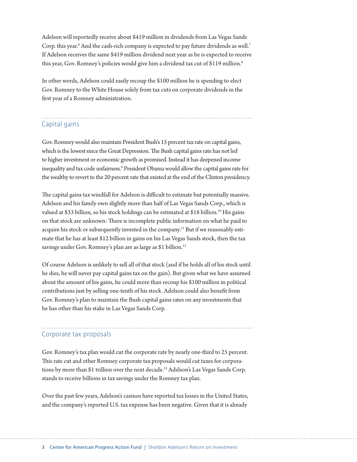Adelson will reportedly receive about \$419 million in dividends from Las Vegas Sands Corp. this year.<sup>6</sup> And the cash-rich company is expected to pay future dividends as well.<sup>7</sup> If Adelson receives the same \$419 million dividend next year as he is expected to receive this year, Gov. Romney's policies would give him a dividend tax cut of \$119 million.<sup>8</sup>

In other words, Adelson could easily recoup the \$100 million he is spending to elect Gov. Romney to the White House solely from tax cuts on corporate dividends in the first year of a Romney administration.

## Capital gains

Gov. Romney would also maintain President Bush's 15 percent tax rate on capital gains, which is the lowest since the Great Depression. The Bush capital gains rate has not led to higher investment or economic growth as promised. Instead it has deepened income inequality and tax code unfairness.<sup>9</sup> President Obama would allow the capital gains rate for the wealthy to revert to the 20 percent rate that existed at the end of the Clinton presidency.

The capital gains tax windfall for Adelson is difficult to estimate but potentially massive. Adelson and his family own slightly more than half of Las Vegas Sands Corp., which is valued at \$33 billion, so his stock holdings can be estimated at \$18 billion.<sup>10</sup> His gains on that stock are unknown: There is incomplete public information on what he paid to acquire his stock or subsequently invested in the company.<sup>11</sup> But if we reasonably estimate that he has at least \$12 billion in gains on his Las Vegas Sands stock, then the tax savings under Gov. Romney's plan are as large as \$1 billion.<sup>12</sup>

Of course Adelson is unlikely to sell all of that stock (and if he holds all of his stock until he dies, he will never pay capital gains tax on the gain). But given what we have assumed about the amount of his gains, he could more than recoup his \$100 million in political contributions just by selling one-tenth of his stock. Adelson could also benefit from Gov. Romney's plan to maintain the Bush capital gains rates on any investments that he has other than his stake in Las Vegas Sands Corp.

### Corporate tax proposals

Gov. Romney's tax plan would cut the corporate rate by nearly one-third to 25 percent. This rate cut and other Romney corporate tax proposals would cut taxes for corporations by more than \$1 trillion over the next decade.<sup>13</sup> Adelson's Las Vegas Sands Corp. stands to receive billions in tax savings under the Romney tax plan.

Over the past few years, Adelson's casinos have reported tax losses in the United States, and the company's reported U.S. tax expense has been negative. Given that it is already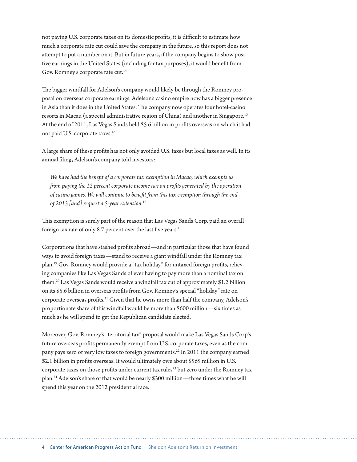not paying U.S. corporate taxes on its domestic profits, it is difficult to estimate how much a corporate rate cut could save the company in the future, so this report does not attempt to put a number on it. But in future years, if the company begins to show positive earnings in the United States (including for tax purposes), it would benefit from Gov. Romney's corporate rate cut.<sup>14</sup>

The bigger windfall for Adelson's company would likely be through the Romney proposal on overseas corporate earnings. Adelson's casino empire now has a bigger presence in Asia than it does in the United States. The company now operates four hotel-casino resorts in Macau (a special administrative region of China) and another in Singapore.15 At the end of 2011, Las Vegas Sands held \$5.6 billion in profits overseas on which it had not paid U.S. corporate taxes.16

A large share of these profits has not only avoided U.S. taxes but local taxes as well. In its annual filing, Adelson's company told investors:

*We have had the benefit of a corporate tax exemption in Macao, which exempts us from paying the 12 percent corporate income tax on profits generated by the operation of casino games. We will continue to benefit from this tax exemption through the end of 2013 [and] request a 5-year extension.*<sup>17</sup>

This exemption is surely part of the reason that Las Vegas Sands Corp. paid an overall foreign tax rate of only 8.7 percent over the last five years.<sup>18</sup>

Corporations that have stashed profits abroad—and in particular those that have found ways to avoid foreign taxes—stand to receive a giant windfall under the Romney tax plan.19 Gov. Romney would provide a "tax holiday" for untaxed foreign profits, relieving companies like Las Vegas Sands of ever having to pay more than a nominal tax on them.20 Las Vegas Sands would receive a windfall tax cut of approximately \$1.2 billion on its \$5.6 billion in overseas profits from Gov. Romney's special "holiday" rate on corporate overseas profits.21 Given that he owns more than half the company, Adelson's proportionate share of this windfall would be more than \$600 million—six times as much as he will spend to get the Republican candidate elected.

Moreover, Gov. Romney's "territorial tax" proposal would make Las Vegas Sands Corp.'s future overseas profits permanently exempt from U.S. corporate taxes, even as the company pays zero or very low taxes to foreign governments.<sup>22</sup> In 2011 the company earned \$2.1 billion in profits overseas. It would ultimately owe about \$565 million in U.S. corporate taxes on those profits under current tax rules<sup>23</sup> but zero under the Romney tax plan.24 Adelson's share of that would be nearly \$300 million—three times what he will spend this year on the 2012 presidential race.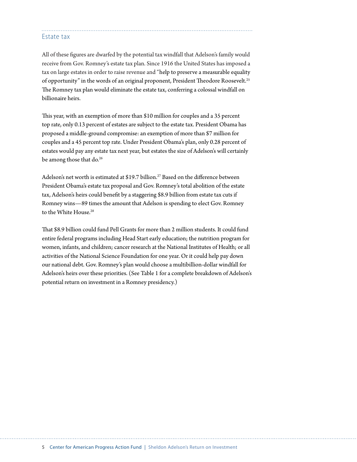#### Estate tax

All of these figures are dwarfed by the potential tax windfall that Adelson's family would receive from Gov. Romney's estate tax plan. Since 1916 the United States has imposed a tax on large estates in order to raise revenue and "help to preserve a measurable equality of opportunity" in the words of an original proponent, President Theodore Roosevelt.<sup>25</sup> The Romney tax plan would eliminate the estate tax, conferring a colossal windfall on billionaire heirs.

This year, with an exemption of more than \$10 million for couples and a 35 percent top rate, only 0.13 percent of estates are subject to the estate tax. President Obama has proposed a middle-ground compromise: an exemption of more than \$7 million for couples and a 45 percent top rate. Under President Obama's plan, only 0.28 percent of estates would pay any estate tax next year, but estates the size of Adelson's will certainly be among those that do.<sup>26</sup>

Adelson's net worth is estimated at \$19.7 billion.<sup>27</sup> Based on the difference between President Obama's estate tax proposal and Gov. Romney's total abolition of the estate tax, Adelson's heirs could benefit by a staggering \$8.9 billion from estate tax cuts if Romney wins—89 times the amount that Adelson is spending to elect Gov. Romney to the White House.<sup>28</sup>

That \$8.9 billion could fund Pell Grants for more than 2 million students. It could fund entire federal programs including Head Start early education; the nutrition program for women, infants, and children; cancer research at the National Institutes of Health; or all activities of the National Science Foundation for one year. Or it could help pay down our national debt. Gov. Romney's plan would choose a multibillion-dollar windfall for Adelson's heirs over these priorities. (See Table 1 for a complete breakdown of Adelson's potential return on investment in a Romney presidency.)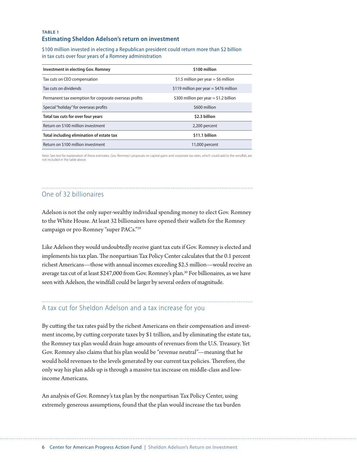#### **TABLE 1 Estimating Sheldon Adelson's return on investment**

\$100 million invested in electing a Republican president could return more than \$2 billion in tax cuts over four years of a Romney administration

| <b>Investment in electing Gov. Romney</b>              | \$100 million                          |
|--------------------------------------------------------|----------------------------------------|
| Tax cuts on CEO compensation                           | \$1.5 million per year = \$6 million   |
| Tax cuts on dividends                                  | \$119 million per year = \$476 million |
| Permanent tax exemption for corporate overseas profits | \$300 million per year = \$1.2 billion |
| Special "holiday" for overseas profits                 | \$600 million                          |
| Total tax cuts for over four years                     | \$2.3 billion                          |
| Return on \$100 million investment                     | 2,200 percent                          |
| Total including elimination of estate tax              | \$11.1 billion                         |
| Return on \$100 million investment                     | 11,000 percent                         |

Note: See text for explanation of these estimates. Gov. Romney's proposals on capital gains and corporate tax rates, which could add to the windfall, are not included in the table above.

### One of 32 billionaires

Adelson is not the only super-wealthy individual spending money to elect Gov. Romney to the White House. At least 32 billionaires have opened their wallets for the Romney campaign or pro-Romney "super PACs."29

Like Adelson they would undoubtedly receive giant tax cuts if Gov. Romney is elected and implements his tax plan. The nonpartisan Tax Policy Center calculates that the 0.1 percent richest Americans—those with annual incomes exceeding \$2.5 million—would receive an average tax cut of at least \$247,000 from Gov. Romney's plan.30 For billionaires, as we have seen with Adelson, the windfall could be larger by several orders of magnitude.

#### A tax cut for Sheldon Adelson and a tax increase for you

By cutting the tax rates paid by the richest Americans on their compensation and investment income, by cutting corporate taxes by \$1 trillion, and by eliminating the estate tax, the Romney tax plan would drain huge amounts of revenues from the U.S. Treasury. Yet Gov. Romney also claims that his plan would be "revenue neutral"—meaning that he would hold revenues to the levels generated by our current tax policies. Therefore, the only way his plan adds up is through a massive tax increase on middle-class and lowincome Americans.

An analysis of Gov. Romney's tax plan by the nonpartisan Tax Policy Center, using extremely generous assumptions, found that the plan would increase the tax burden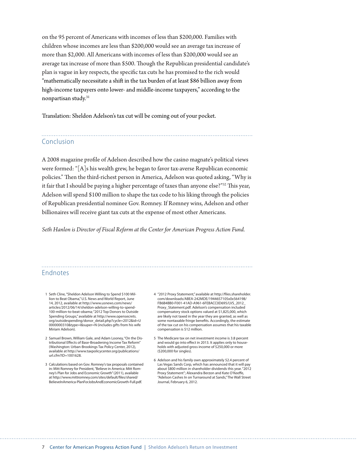on the 95 percent of Americans with incomes of less than \$200,000. Families with children whose incomes are less than \$200,000 would see an average tax increase of more than \$2,000. All Americans with incomes of less than \$200,000 would see an average tax increase of more than \$500. Though the Republican presidential candidate's plan is vague in key respects, the specific tax cuts he has promised to the rich would "mathematically necessitate a shift in the tax burden of at least \$86 billion away from high-income taxpayers onto lower- and middle-income taxpayers," according to the nonpartisan study.31

Translation: Sheldon Adelson's tax cut will be coming out of your pocket.

#### Conclusion

A 2008 magazine profile of Adelson described how the casino magnate's political views were formed: "[A]s his wealth grew, he began to favor tax-averse Republican economic policies." Then the third-richest person in America, Adelson was quoted asking, "Why is it fair that I should be paying a higher percentage of taxes than anyone else?"32 This year, Adelson will spend \$100 million to shape the tax code to his liking through the policies of Republican presidential nominee Gov. Romney. If Romney wins, Adelson and other billionaires will receive giant tax cuts at the expense of most other Americans.

*Seth Hanlon is Director of Fiscal Reform at the Center for American Progress Action Fund.*

#### Endnotes

- 1 Seth Cline, "Sheldon Adelson Willing to Spend \$100 Million to Beat Obama," U.S. News and World Report, June 14, 2012, available at http://www.usnews.com/news/ articles/2012/06/14/sheldon-adelson-willing-to-spend-100-million-to-beat-obama; "2012 Top Donors to Outside Spending Groups," available at http://www.opensecrets. org/outsidespending/donor\_detail.php?cycle=2012&id=U 0000000310&type=I&super=N (includes gifts from his wife Miriam Adelson).
- 2 Samuel Brown, William Gale, and Adam Looney, "On the Distributional Effects of Base-Broadening Income Tax Reform" (Washington: Urban-Brookings Tax Policy Center, 2012), available at http://www.taxpolicycenter.org/publications/ url.cfm?ID=1001628.
- 3 Calculations based on Gov. Romney's tax proposals contained in: Mitt Romney for President, "Believe in America: Mitt Romney's Plan for Jobs and Economic Growth" (2011), available at http://www.mittromney.com/sites/default/files/shared/ BelieveInAmerica-PlanForJobsAndEconomicGrowth-Full.pdf.
- 4 "2012 Proxy Statement," available at http://files.shareholder. com/downloads/ABEA-242MDE/1944657105x0x564198/ FB6B4BB0-F001-41AD-A961-6FEBACC0D695/LVS\_2012\_ Proxy\_Statement.pdf. Adelson's compensation included compensatory stock options valued at \$1,825,000, which are likely not taxed in the year they are granted, as well as some nontaxable fringe benefits. Accordingly, the estimate of the tax cut on his compensation assumes that his taxable compensation is \$12 million.
- 5 The Medicare tax on net investment income is 3.8 percent and would go into effect in 2013. It applies only to households with adjusted gross income of \$250,000 or more (\$200,000 for singles).
- 6 Adelson and his family own approximately 52.4 percent of Las Vegas Sands Corp, which has announced that it will pay about \$800 million in shareholder dividends this year. "2012 Proxy Statement"; Alexandra Berzon and Kate O'Keeffe, "Adelson Cashes In on Turnaround at Sands," The Wall Street Journal, February 6, 2012.